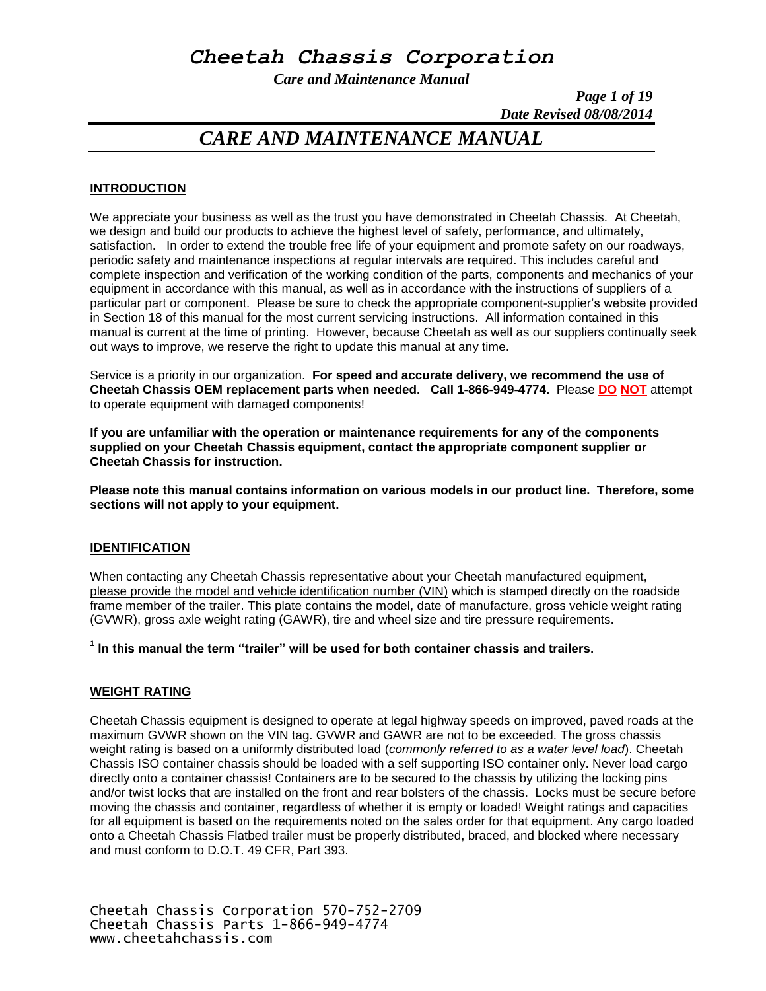## *Cheetah Chassis Corporation*

*Care and Maintenance Manual*

*Page 1 of 19 Date Revised 08/08/2014*

### *CARE AND MAINTENANCE MANUAL*

#### **INTRODUCTION**

We appreciate your business as well as the trust you have demonstrated in Cheetah Chassis. At Cheetah, we design and build our products to achieve the highest level of safety, performance, and ultimately, satisfaction. In order to extend the trouble free life of your equipment and promote safety on our roadways, periodic safety and maintenance inspections at regular intervals are required. This includes careful and complete inspection and verification of the working condition of the parts, components and mechanics of your equipment in accordance with this manual, as well as in accordance with the instructions of suppliers of a particular part or component. Please be sure to check the appropriate component-supplier's website provided in Section 18 of this manual for the most current servicing instructions. All information contained in this manual is current at the time of printing. However, because Cheetah as well as our suppliers continually seek out ways to improve, we reserve the right to update this manual at any time.

Service is a priority in our organization. **For speed and accurate delivery, we recommend the use of Cheetah Chassis OEM replacement parts when needed. Call 1-866-949-4774.** Please **DO NOT** attempt to operate equipment with damaged components!

**If you are unfamiliar with the operation or maintenance requirements for any of the components supplied on your Cheetah Chassis equipment, contact the appropriate component supplier or Cheetah Chassis for instruction.** 

**Please note this manual contains information on various models in our product line. Therefore, some sections will not apply to your equipment.**

#### **IDENTIFICATION**

When contacting any Cheetah Chassis representative about your Cheetah manufactured equipment, please provide the model and vehicle identification number (VIN) which is stamped directly on the roadside frame member of the trailer. This plate contains the model, date of manufacture, gross vehicle weight rating (GVWR), gross axle weight rating (GAWR), tire and wheel size and tire pressure requirements.

**1 In this manual the term "trailer" will be used for both container chassis and trailers.**

#### **WEIGHT RATING**

Cheetah Chassis equipment is designed to operate at legal highway speeds on improved, paved roads at the maximum GVWR shown on the VIN tag. GVWR and GAWR are not to be exceeded. The gross chassis weight rating is based on a uniformly distributed load (*commonly referred to as a water level load*). Cheetah Chassis ISO container chassis should be loaded with a self supporting ISO container only. Never load cargo directly onto a container chassis! Containers are to be secured to the chassis by utilizing the locking pins and/or twist locks that are installed on the front and rear bolsters of the chassis. Locks must be secure before moving the chassis and container, regardless of whether it is empty or loaded! Weight ratings and capacities for all equipment is based on the requirements noted on the sales order for that equipment. Any cargo loaded onto a Cheetah Chassis Flatbed trailer must be properly distributed, braced, and blocked where necessary and must conform to D.O.T. 49 CFR, Part 393.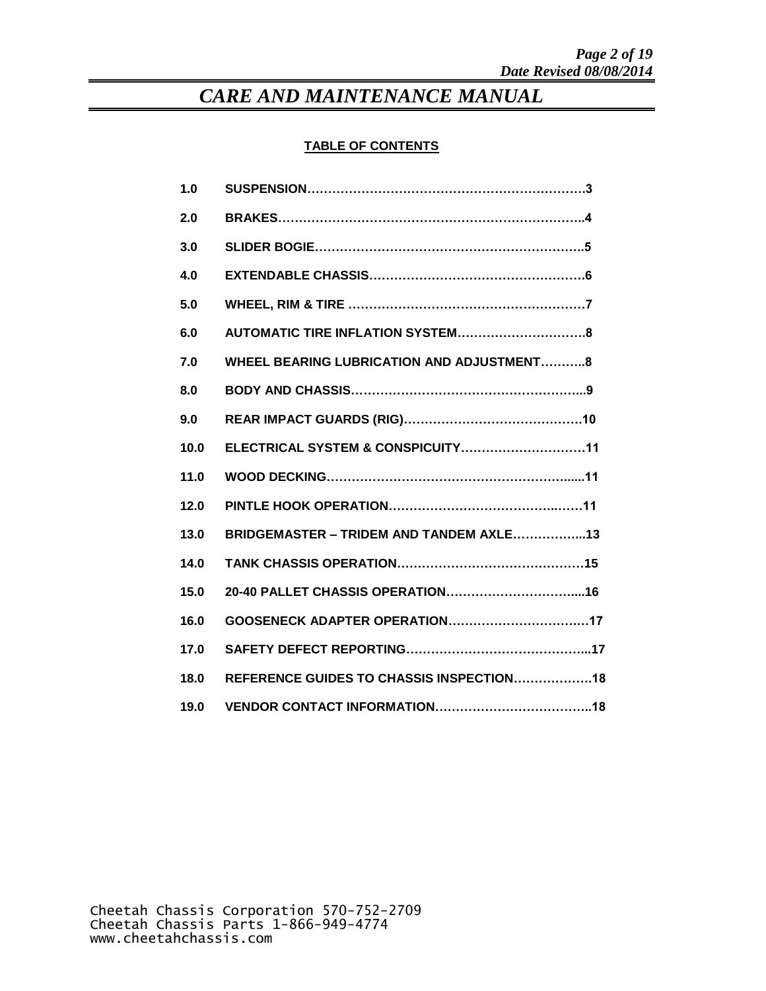### **TABLE OF CONTENTS**

| 1.0  |                                                  |
|------|--------------------------------------------------|
| 2.0  |                                                  |
| 3.0  |                                                  |
| 4.0  |                                                  |
| 5.0  |                                                  |
| 6.0  |                                                  |
| 7.0  | <b>WHEEL BEARING LUBRICATION AND ADJUSTMENT8</b> |
| 8.0  |                                                  |
| 9.0  |                                                  |
| 10.0 | ELECTRICAL SYSTEM & CONSPICUITY11                |
| 11.0 |                                                  |
| 12.0 |                                                  |
| 13.0 | BRIDGEMASTER - TRIDEM AND TANDEM AXLE13          |
| 14.0 |                                                  |
| 15.0 |                                                  |
| 16.0 |                                                  |
| 17.0 |                                                  |
| 18.0 | REFERENCE GUIDES TO CHASSIS INSPECTION18         |
| 19.0 |                                                  |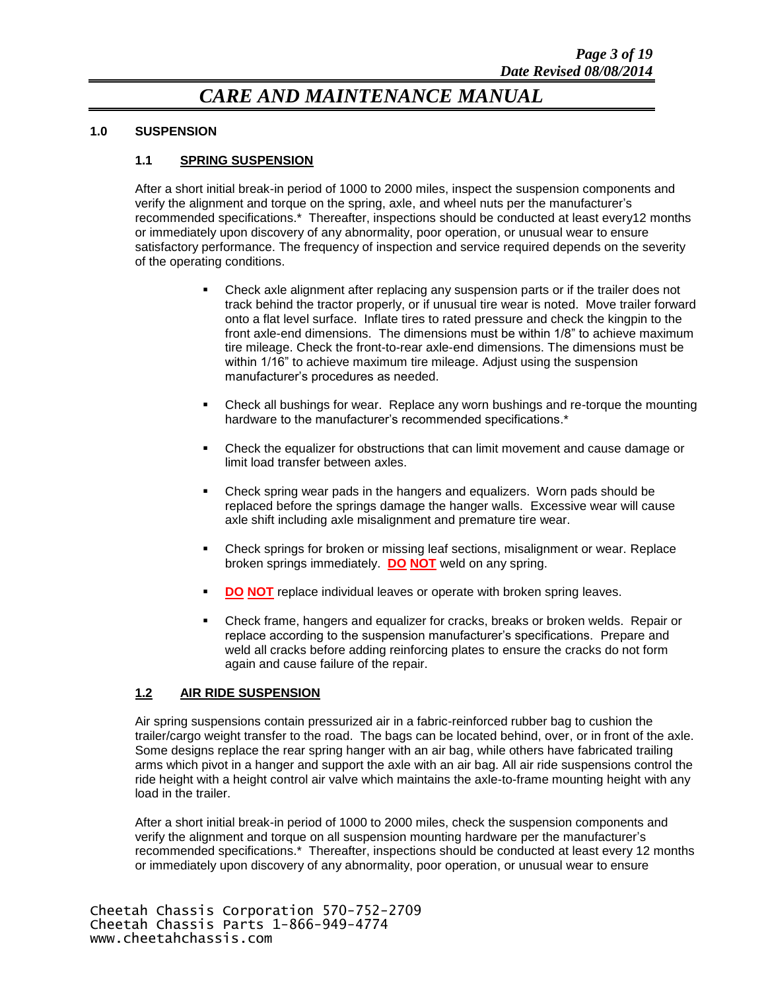#### **1.0 SUSPENSION**

#### **1.1 SPRING SUSPENSION**

After a short initial break-in period of 1000 to 2000 miles, inspect the suspension components and verify the alignment and torque on the spring, axle, and wheel nuts per the manufacturer's recommended specifications.\* Thereafter, inspections should be conducted at least every12 months or immediately upon discovery of any abnormality, poor operation, or unusual wear to ensure satisfactory performance. The frequency of inspection and service required depends on the severity of the operating conditions.

- Check axle alignment after replacing any suspension parts or if the trailer does not track behind the tractor properly, or if unusual tire wear is noted. Move trailer forward onto a flat level surface. Inflate tires to rated pressure and check the kingpin to the front axle-end dimensions. The dimensions must be within 1/8" to achieve maximum tire mileage. Check the front-to-rear axle-end dimensions. The dimensions must be within 1/16" to achieve maximum tire mileage. Adjust using the suspension manufacturer's procedures as needed.
- Check all bushings for wear. Replace any worn bushings and re-torque the mounting hardware to the manufacturer's recommended specifications.\*
- Check the equalizer for obstructions that can limit movement and cause damage or limit load transfer between axles.
- Check spring wear pads in the hangers and equalizers. Worn pads should be replaced before the springs damage the hanger walls. Excessive wear will cause axle shift including axle misalignment and premature tire wear.
- Check springs for broken or missing leaf sections, misalignment or wear. Replace broken springs immediately. **DO NOT** weld on any spring.
- **DO NOT** replace individual leaves or operate with broken spring leaves.
- Check frame, hangers and equalizer for cracks, breaks or broken welds. Repair or replace according to the suspension manufacturer's specifications. Prepare and weld all cracks before adding reinforcing plates to ensure the cracks do not form again and cause failure of the repair.

#### **1.2 AIR RIDE SUSPENSION**

Air spring suspensions contain pressurized air in a fabric-reinforced rubber bag to cushion the trailer/cargo weight transfer to the road. The bags can be located behind, over, or in front of the axle. Some designs replace the rear spring hanger with an air bag, while others have fabricated trailing arms which pivot in a hanger and support the axle with an air bag. All air ride suspensions control the ride height with a height control air valve which maintains the axle-to-frame mounting height with any load in the trailer.

After a short initial break-in period of 1000 to 2000 miles, check the suspension components and verify the alignment and torque on all suspension mounting hardware per the manufacturer's recommended specifications.\* Thereafter, inspections should be conducted at least every 12 months or immediately upon discovery of any abnormality, poor operation, or unusual wear to ensure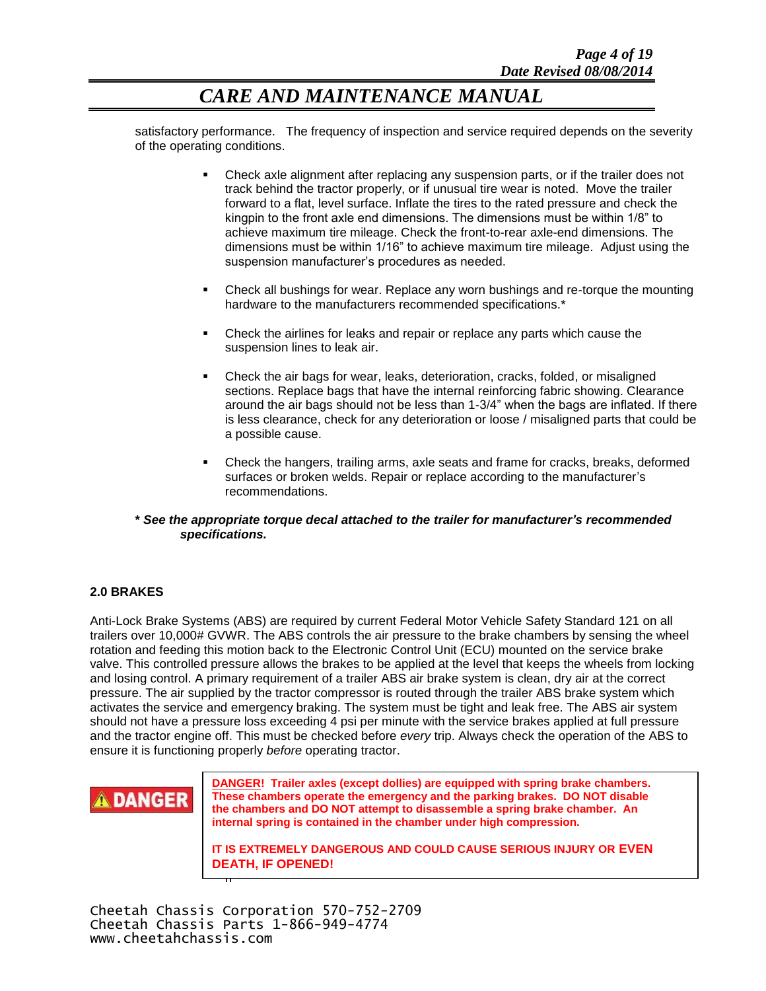satisfactory performance. The frequency of inspection and service required depends on the severity of the operating conditions.

- Check axle alignment after replacing any suspension parts, or if the trailer does not track behind the tractor properly, or if unusual tire wear is noted. Move the trailer forward to a flat, level surface. Inflate the tires to the rated pressure and check the kingpin to the front axle end dimensions. The dimensions must be within 1/8" to achieve maximum tire mileage. Check the front-to-rear axle-end dimensions. The dimensions must be within 1/16" to achieve maximum tire mileage. Adjust using the suspension manufacturer's procedures as needed.
- Check all bushings for wear. Replace any worn bushings and re-torque the mounting hardware to the manufacturers recommended specifications.<sup>\*</sup>
- Check the airlines for leaks and repair or replace any parts which cause the suspension lines to leak air.
- Check the air bags for wear, leaks, deterioration, cracks, folded, or misaligned sections. Replace bags that have the internal reinforcing fabric showing. Clearance around the air bags should not be less than 1-3/4" when the bags are inflated. If there is less clearance, check for any deterioration or loose / misaligned parts that could be a possible cause.
- Check the hangers, trailing arms, axle seats and frame for cracks, breaks, deformed surfaces or broken welds. Repair or replace according to the manufacturer's recommendations.
- **\*** *See the appropriate torque decal attached to the trailer for manufacturer's recommended specifications.*

#### **2.0 BRAKES**

Anti-Lock Brake Systems (ABS) are required by current Federal Motor Vehicle Safety Standard 121 on all trailers over 10,000# GVWR. The ABS controls the air pressure to the brake chambers by sensing the wheel rotation and feeding this motion back to the Electronic Control Unit (ECU) mounted on the service brake valve. This controlled pressure allows the brakes to be applied at the level that keeps the wheels from locking and losing control. A primary requirement of a trailer ABS air brake system is clean, dry air at the correct pressure. The air supplied by the tractor compressor is routed through the trailer ABS brake system which activates the service and emergency braking. The system must be tight and leak free. The ABS air system should not have a pressure loss exceeding 4 psi per minute with the service brakes applied at full pressure and the tractor engine off. This must be checked before *every* trip. Always check the operation of the ABS to ensure it is functioning properly *before* operating tractor.



**DANGER! Trailer axles (except dollies) are equipped with spring brake chambers. These chambers operate the emergency and the parking brakes. DO NOT disable the chambers and DO NOT attempt to disassemble a spring brake chamber. An internal spring is contained in the chamber under high compression.**

DEATH, IF OPENED! **IT IS EXTREMELY DANGEROUS AND COULD CAUSE SERIOUS INJURY OR EVEN** 

h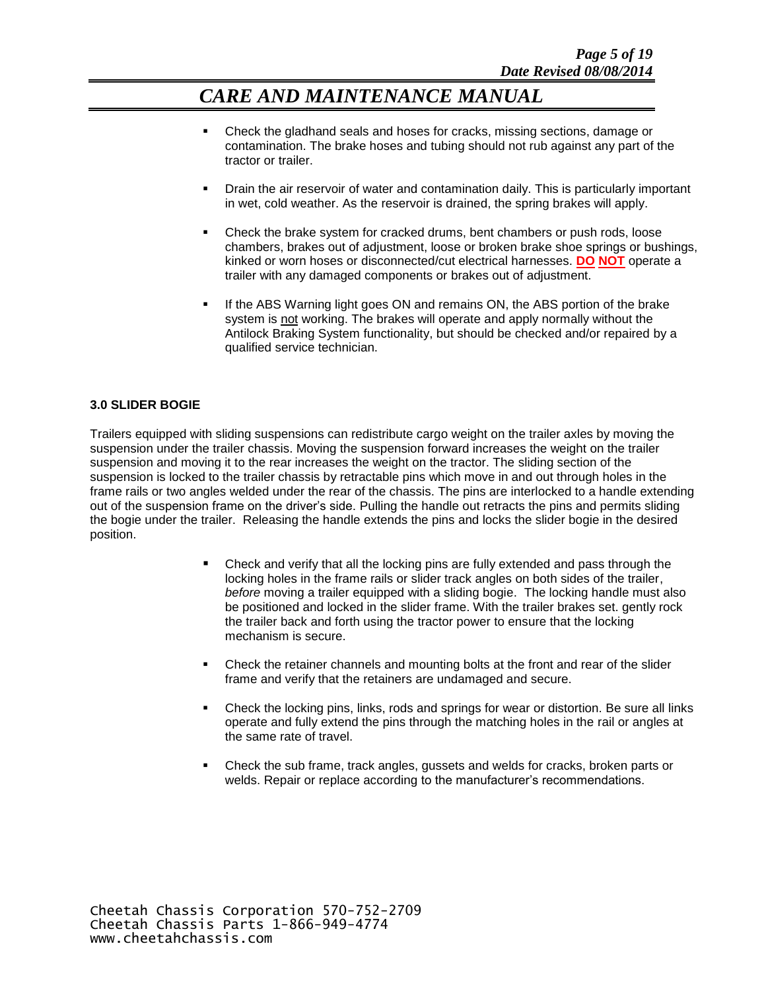- Check the gladhand seals and hoses for cracks, missing sections, damage or contamination. The brake hoses and tubing should not rub against any part of the tractor or trailer.
- Drain the air reservoir of water and contamination daily. This is particularly important in wet, cold weather. As the reservoir is drained, the spring brakes will apply.
- Check the brake system for cracked drums, bent chambers or push rods, loose chambers, brakes out of adjustment, loose or broken brake shoe springs or bushings, kinked or worn hoses or disconnected/cut electrical harnesses. **DO NOT** operate a trailer with any damaged components or brakes out of adjustment.
- If the ABS Warning light goes ON and remains ON, the ABS portion of the brake system is not working. The brakes will operate and apply normally without the Antilock Braking System functionality, but should be checked and/or repaired by a qualified service technician.

#### **3.0 SLIDER BOGIE**

Trailers equipped with sliding suspensions can redistribute cargo weight on the trailer axles by moving the suspension under the trailer chassis. Moving the suspension forward increases the weight on the trailer suspension and moving it to the rear increases the weight on the tractor. The sliding section of the suspension is locked to the trailer chassis by retractable pins which move in and out through holes in the frame rails or two angles welded under the rear of the chassis. The pins are interlocked to a handle extending out of the suspension frame on the driver's side. Pulling the handle out retracts the pins and permits sliding the bogie under the trailer. Releasing the handle extends the pins and locks the slider bogie in the desired position.

- Check and verify that all the locking pins are fully extended and pass through the locking holes in the frame rails or slider track angles on both sides of the trailer, *before* moving a trailer equipped with a sliding bogie. The locking handle must also be positioned and locked in the slider frame. With the trailer brakes set. gently rock the trailer back and forth using the tractor power to ensure that the locking mechanism is secure.
- Check the retainer channels and mounting bolts at the front and rear of the slider frame and verify that the retainers are undamaged and secure.
- Check the locking pins, links, rods and springs for wear or distortion. Be sure all links operate and fully extend the pins through the matching holes in the rail or angles at the same rate of travel.
- Check the sub frame, track angles, gussets and welds for cracks, broken parts or welds. Repair or replace according to the manufacturer's recommendations.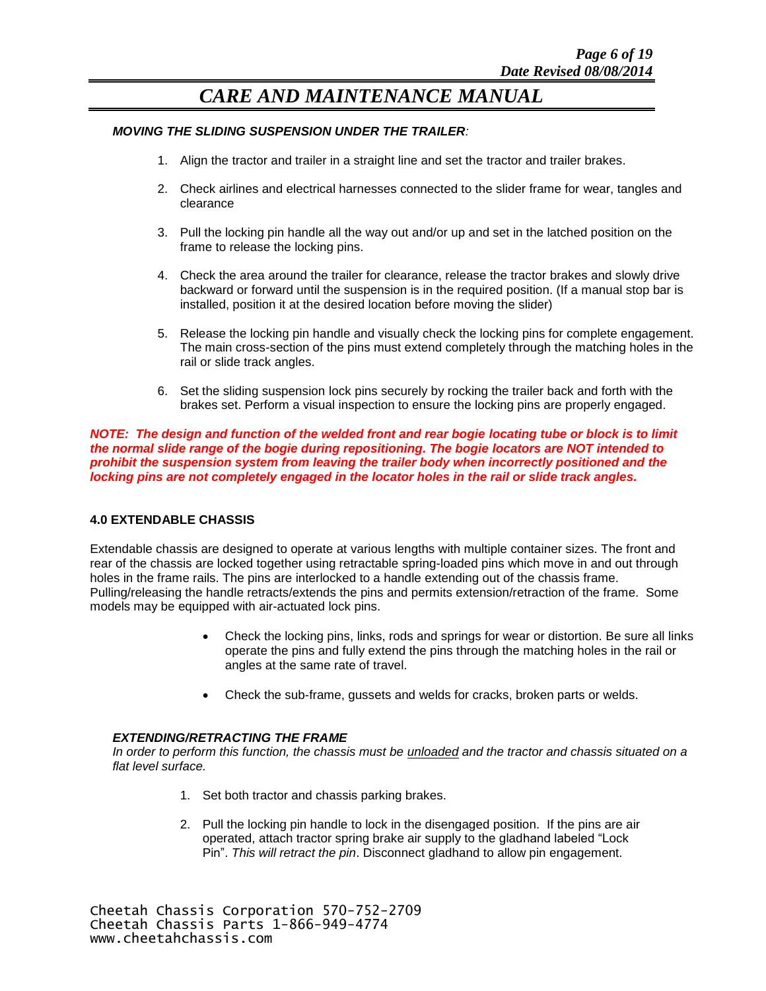#### *MOVING THE SLIDING SUSPENSION UNDER THE TRAILER:*

- 1. Align the tractor and trailer in a straight line and set the tractor and trailer brakes.
- 2. Check airlines and electrical harnesses connected to the slider frame for wear, tangles and clearance
- 3. Pull the locking pin handle all the way out and/or up and set in the latched position on the frame to release the locking pins.
- 4. Check the area around the trailer for clearance, release the tractor brakes and slowly drive backward or forward until the suspension is in the required position. (If a manual stop bar is installed, position it at the desired location before moving the slider)
- 5. Release the locking pin handle and visually check the locking pins for complete engagement. The main cross-section of the pins must extend completely through the matching holes in the rail or slide track angles.
- 6. Set the sliding suspension lock pins securely by rocking the trailer back and forth with the brakes set. Perform a visual inspection to ensure the locking pins are properly engaged.

*NOTE: The design and function of the welded front and rear bogie locating tube or block is to limit the normal slide range of the bogie during repositioning. The bogie locators are NOT intended to prohibit the suspension system from leaving the trailer body when incorrectly positioned and the locking pins are not completely engaged in the locator holes in the rail or slide track angles.*

#### **4.0 EXTENDABLE CHASSIS**

Extendable chassis are designed to operate at various lengths with multiple container sizes. The front and rear of the chassis are locked together using retractable spring-loaded pins which move in and out through holes in the frame rails. The pins are interlocked to a handle extending out of the chassis frame. Pulling/releasing the handle retracts/extends the pins and permits extension/retraction of the frame. Some models may be equipped with air-actuated lock pins.

- Check the locking pins, links, rods and springs for wear or distortion. Be sure all links operate the pins and fully extend the pins through the matching holes in the rail or angles at the same rate of travel.
- Check the sub-frame, gussets and welds for cracks, broken parts or welds.

#### *EXTENDING/RETRACTING THE FRAME*

*In order to perform this function, the chassis must be unloaded and the tractor and chassis situated on a flat level surface.*

- 1. Set both tractor and chassis parking brakes.
- 2. Pull the locking pin handle to lock in the disengaged position. If the pins are air operated, attach tractor spring brake air supply to the gladhand labeled "Lock Pin". *This will retract the pin*. Disconnect gladhand to allow pin engagement.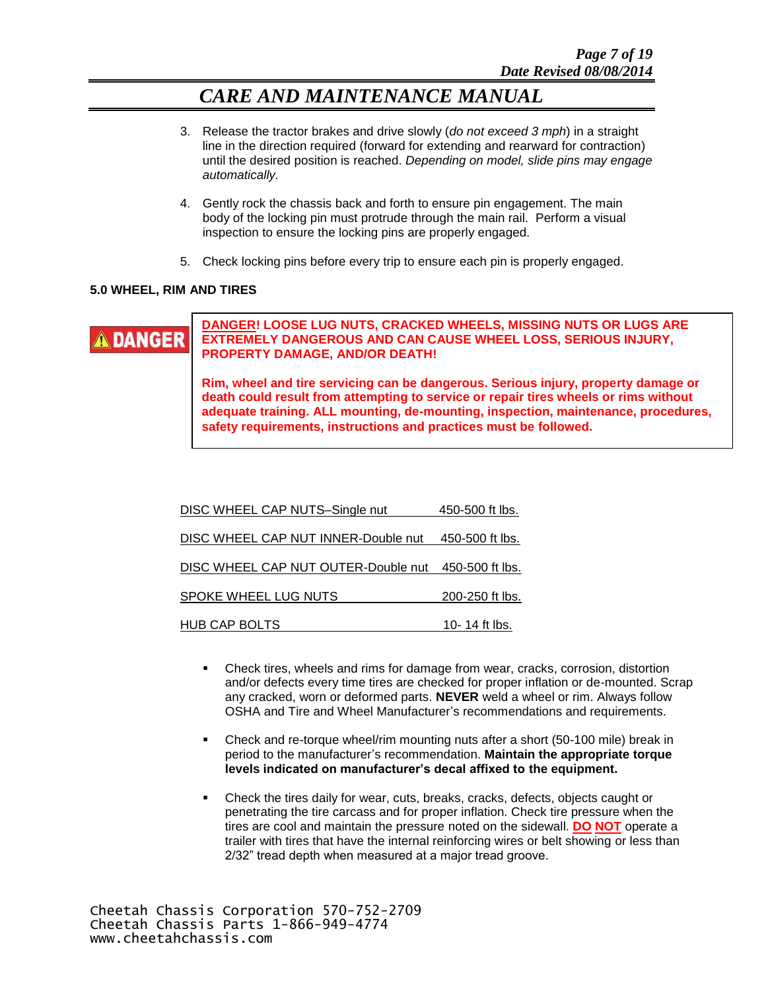- 3. Release the tractor brakes and drive slowly (*do not exceed 3 mph*) in a straight line in the direction required (forward for extending and rearward for contraction) until the desired position is reached. *Depending on model, slide pins may engage automatically.*
- 4. Gently rock the chassis back and forth to ensure pin engagement. The main body of the locking pin must protrude through the main rail. Perform a visual inspection to ensure the locking pins are properly engaged.
- 5. Check locking pins before every trip to ensure each pin is properly engaged.

#### **5.0 WHEEL, RIM AND TIRES**



**DANGER! LOOSE LUG NUTS, CRACKED WHEELS, MISSING NUTS OR LUGS ARE EXTREMELY DANGEROUS AND CAN CAUSE WHEEL LOSS, SERIOUS INJURY, PROPERTY DAMAGE, AND/OR DEATH!**

adequate training. ALL mounting, de-mounting, inspection, maintenance, procedures, **Rim, wheel and tire servicing can be dangerous. Serious injury, property damage or death could result from attempting to service or repair tires wheels or rims without safety requirements, instructions and practices must be followed.**

| DISC WHEEL CAP NUTS-Single nut                      | 450-500 ft lbs. |
|-----------------------------------------------------|-----------------|
| DISC WHEEL CAP NUT INNER-Double nut 450-500 ft lbs. |                 |
| DISC WHEEL CAP NUT OUTER-Double nut 450-500 ft lbs. |                 |
| SPOKE WHEEL LUG NUTS                                | 200-250 ft lbs. |
| HUB CAP BOLTS                                       | 10-14 ft lbs.   |

- Check tires, wheels and rims for damage from wear, cracks, corrosion, distortion and/or defects every time tires are checked for proper inflation or de-mounted. Scrap any cracked, worn or deformed parts. **NEVER** weld a wheel or rim. Always follow OSHA and Tire and Wheel Manufacturer's recommendations and requirements.
- Check and re-torque wheel/rim mounting nuts after a short (50-100 mile) break in period to the manufacturer's recommendation. **Maintain the appropriate torque levels indicated on manufacturer's decal affixed to the equipment.**
- Check the tires daily for wear, cuts, breaks, cracks, defects, objects caught or penetrating the tire carcass and for proper inflation. Check tire pressure when the tires are cool and maintain the pressure noted on the sidewall. **DO NOT** operate a trailer with tires that have the internal reinforcing wires or belt showing or less than 2/32" tread depth when measured at a major tread groove.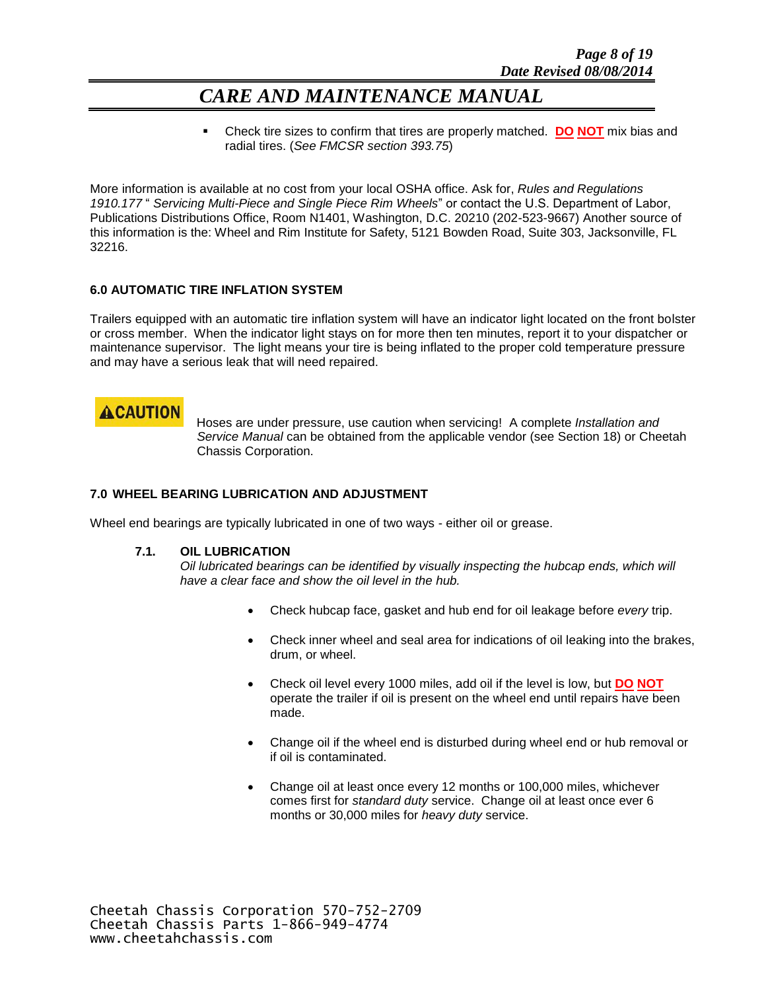Check tire sizes to confirm that tires are properly matched. **DO NOT** mix bias and radial tires. (*See FMCSR section 393.75*)

More information is available at no cost from your local OSHA office. Ask for, *Rules and Regulations 1910.177* " *Servicing Multi-Piece and Single Piece Rim Wheels*" or contact the U.S. Department of Labor, Publications Distributions Office, Room N1401, Washington, D.C. 20210 (202-523-9667) Another source of this information is the: Wheel and Rim Institute for Safety, 5121 Bowden Road, Suite 303, Jacksonville, FL 32216.

#### **6.0 AUTOMATIC TIRE INFLATION SYSTEM**

Trailers equipped with an automatic tire inflation system will have an indicator light located on the front bolster or cross member. When the indicator light stays on for more then ten minutes, report it to your dispatcher or maintenance supervisor. The light means your tire is being inflated to the proper cold temperature pressure and may have a serious leak that will need repaired.

### **ACAUTION**

 Hoses are under pressure, use caution when servicing! A complete *Installation and Service Manual* can be obtained from the applicable vendor (see Section 18) or Cheetah Chassis Corporation.

#### **7.0 WHEEL BEARING LUBRICATION AND ADJUSTMENT**

Wheel end bearings are typically lubricated in one of two ways - either oil or grease.

#### **7.1. OIL LUBRICATION**

*Oil lubricated bearings can be identified by visually inspecting the hubcap ends, which will have a clear face and show the oil level in the hub.*

- Check hubcap face, gasket and hub end for oil leakage before *every* trip.
- Check inner wheel and seal area for indications of oil leaking into the brakes, drum, or wheel.
- Check oil level every 1000 miles, add oil if the level is low, but **DO NOT** operate the trailer if oil is present on the wheel end until repairs have been made.
- Change oil if the wheel end is disturbed during wheel end or hub removal or if oil is contaminated.
- Change oil at least once every 12 months or 100,000 miles, whichever comes first for *standard duty* service. Change oil at least once ever 6 months or 30,000 miles for *heavy duty* service.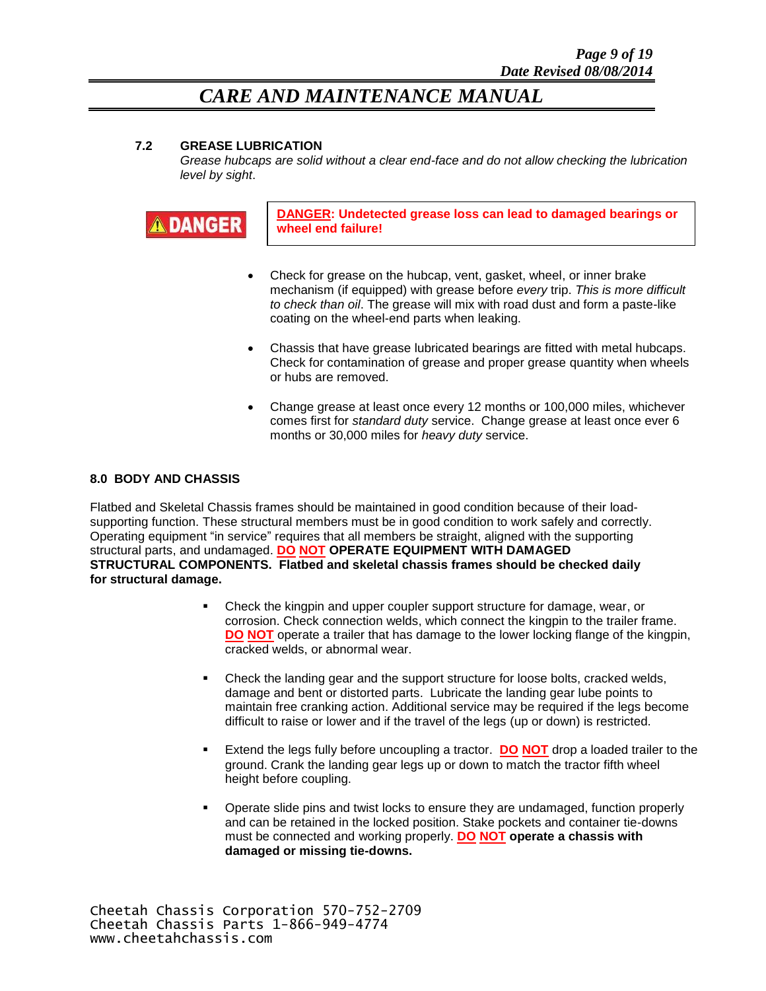#### **7.2 GREASE LUBRICATION**

*Grease hubcaps are solid without a clear end-face and do not allow checking the lubrication level by sight*.



**DANGER: Undetected grease loss can lead to damaged bearings or wheel end failure!**

- Check for grease on the hubcap, vent, gasket, wheel, or inner brake mechanism (if equipped) with grease before *every* trip. *This is more difficult to check than oil*. The grease will mix with road dust and form a paste-like coating on the wheel-end parts when leaking.
- Chassis that have grease lubricated bearings are fitted with metal hubcaps. Check for contamination of grease and proper grease quantity when wheels or hubs are removed.
- Change grease at least once every 12 months or 100,000 miles, whichever comes first for *standard duty* service. Change grease at least once ever 6 months or 30,000 miles for *heavy duty* service.

#### **8.0 BODY AND CHASSIS**

Flatbed and Skeletal Chassis frames should be maintained in good condition because of their loadsupporting function. These structural members must be in good condition to work safely and correctly. Operating equipment "in service" requires that all members be straight, aligned with the supporting structural parts, and undamaged. **DO NOT OPERATE EQUIPMENT WITH DAMAGED STRUCTURAL COMPONENTS. Flatbed and skeletal chassis frames should be checked daily for structural damage.**

- Check the kingpin and upper coupler support structure for damage, wear, or corrosion. Check connection welds, which connect the kingpin to the trailer frame. **DO NOT** operate a trailer that has damage to the lower locking flange of the kingpin, cracked welds, or abnormal wear.
- Check the landing gear and the support structure for loose bolts, cracked welds, damage and bent or distorted parts. Lubricate the landing gear lube points to maintain free cranking action. Additional service may be required if the legs become difficult to raise or lower and if the travel of the legs (up or down) is restricted.
- Extend the legs fully before uncoupling a tractor. **DO NOT** drop a loaded trailer to the ground. Crank the landing gear legs up or down to match the tractor fifth wheel height before coupling.
- Operate slide pins and twist locks to ensure they are undamaged, function properly and can be retained in the locked position. Stake pockets and container tie-downs must be connected and working properly. **DO NOT operate a chassis with damaged or missing tie-downs.**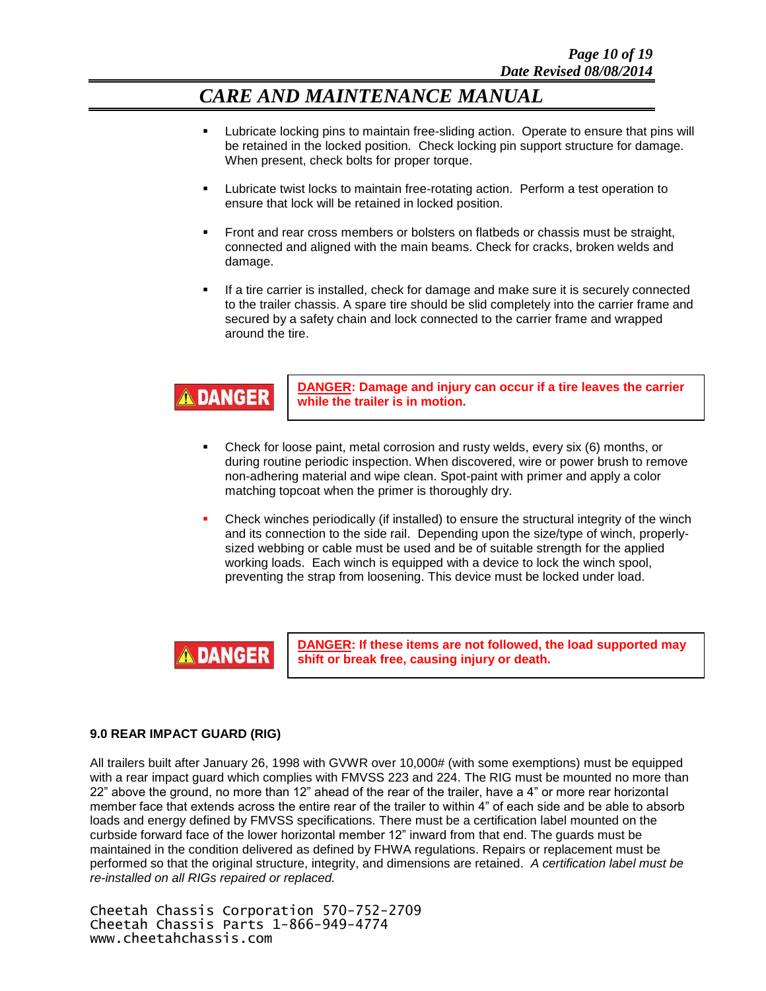- Lubricate locking pins to maintain free-sliding action. Operate to ensure that pins will be retained in the locked position. Check locking pin support structure for damage. When present, check bolts for proper torque.
- Lubricate twist locks to maintain free-rotating action. Perform a test operation to ensure that lock will be retained in locked position.
- Front and rear cross members or bolsters on flatbeds or chassis must be straight, connected and aligned with the main beams. Check for cracks, broken welds and damage.
- If a tire carrier is installed, check for damage and make sure it is securely connected to the trailer chassis. A spare tire should be slid completely into the carrier frame and secured by a safety chain and lock connected to the carrier frame and wrapped around the tire.



**DANGER: Damage and injury can occur if a tire leaves the carrier while the trailer is in motion.**

- Check for loose paint, metal corrosion and rusty welds, every six (6) months, or during routine periodic inspection. When discovered, wire or power brush to remove non-adhering material and wipe clean. Spot-paint with primer and apply a color matching topcoat when the primer is thoroughly dry.
- Check winches periodically (if installed) to ensure the structural integrity of the winch and its connection to the side rail. Depending upon the size/type of winch, properlysized webbing or cable must be used and be of suitable strength for the applied working loads. Each winch is equipped with a device to lock the winch spool, preventing the strap from loosening. This device must be locked under load.



**DANGER: If these items are not followed, the load supported may shift or break free, causing injury or death.**

#### **9.0 REAR IMPACT GUARD (RIG)**

All trailers built after January 26, 1998 with GVWR over 10,000# (with some exemptions) must be equipped with a rear impact guard which complies with FMVSS 223 and 224. The RIG must be mounted no more than 22" above the ground, no more than 12" ahead of the rear of the trailer, have a 4" or more rear horizontal member face that extends across the entire rear of the trailer to within 4" of each side and be able to absorb loads and energy defined by FMVSS specifications. There must be a certification label mounted on the curbside forward face of the lower horizontal member 12" inward from that end. The guards must be maintained in the condition delivered as defined by FHWA regulations. Repairs or replacement must be performed so that the original structure, integrity, and dimensions are retained. *A certification label must be re-installed on all RIGs repaired or replaced.*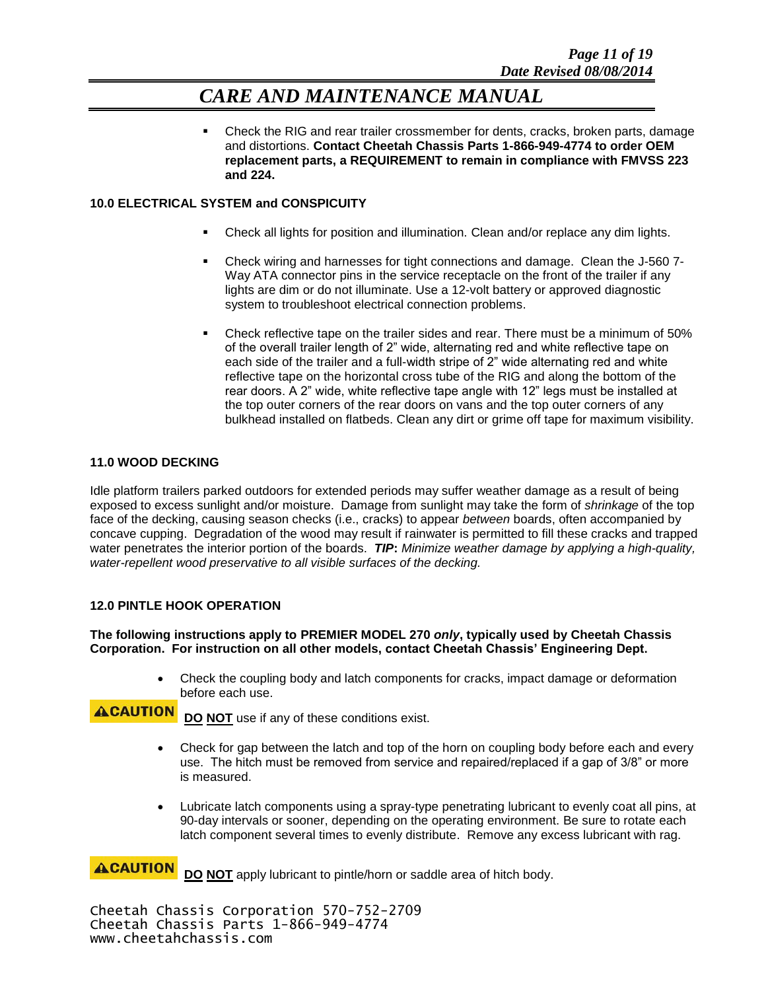Check the RIG and rear trailer crossmember for dents, cracks, broken parts, damage and distortions. **Contact Cheetah Chassis Parts 1-866-949-4774 to order OEM replacement parts, a REQUIREMENT to remain in compliance with FMVSS 223 and 224.**

#### **10.0 ELECTRICAL SYSTEM and CONSPICUITY**

- Check all lights for position and illumination. Clean and/or replace any dim lights.
- Check wiring and harnesses for tight connections and damage. Clean the J-560 7- Way ATA connector pins in the service receptacle on the front of the trailer if any lights are dim or do not illuminate. Use a 12-volt battery or approved diagnostic system to troubleshoot electrical connection problems.
- Check reflective tape on the trailer sides and rear. There must be a minimum of 50% of the overall trailer length of 2" wide, alternating red and white reflective tape on each side of the trailer and a full-width stripe of 2" wide alternating red and white reflective tape on the horizontal cross tube of the RIG and along the bottom of the rear doors. A 2" wide, white reflective tape angle with 12" legs must be installed at the top outer corners of the rear doors on vans and the top outer corners of any bulkhead installed on flatbeds. Clean any dirt or grime off tape for maximum visibility.

#### **11.0 WOOD DECKING**

Idle platform trailers parked outdoors for extended periods may suffer weather damage as a result of being exposed to excess sunlight and/or moisture. Damage from sunlight may take the form of *shrinkage* of the top face of the decking, causing season checks (i.e., cracks) to appear *between* boards, often accompanied by concave cupping. Degradation of the wood may result if rainwater is permitted to fill these cracks and trapped water penetrates the interior portion of the boards. *TIP***:** *Minimize weather damage by applying a high-quality, water-repellent wood preservative to all visible surfaces of the decking.*

#### **12.0 PINTLE HOOK OPERATION**

#### **The following instructions apply to PREMIER MODEL 270** *only***, typically used by Cheetah Chassis Corporation. For instruction on all other models, contact Cheetah Chassis' Engineering Dept.**

 Check the coupling body and latch components for cracks, impact damage or deformation before each use.

**ACAUTION DO NOT** use if any of these conditions exist.

- Check for gap between the latch and top of the horn on coupling body before each and every use. The hitch must be removed from service and repaired/replaced if a gap of 3/8" or more is measured.
- Lubricate latch components using a spray-type penetrating lubricant to evenly coat all pins, at 90-day intervals or sooner, depending on the operating environment. Be sure to rotate each latch component several times to evenly distribute. Remove any excess lubricant with rag.

**ACAUTION DO NOT** apply lubricant to pintle/horn or saddle area of hitch body.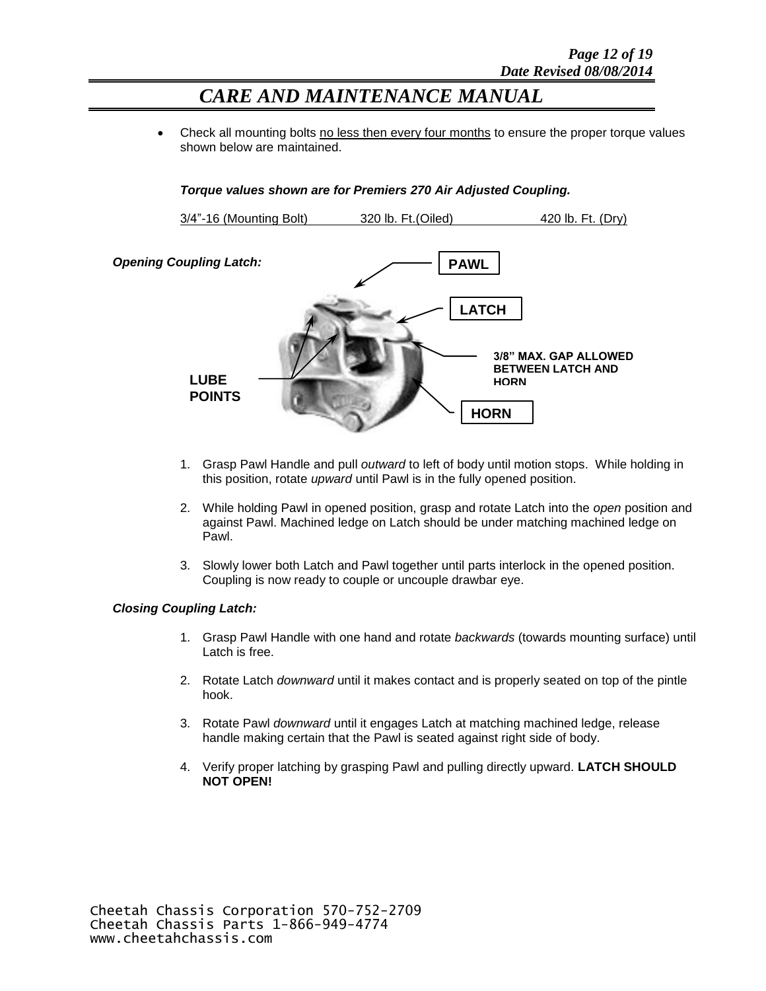Check all mounting bolts no less then every four months to ensure the proper torque values shown below are maintained.

#### *Torque values shown are for Premiers 270 Air Adjusted Coupling.*



- 1. Grasp Pawl Handle and pull *outward* to left of body until motion stops. While holding in this position, rotate *upward* until Pawl is in the fully opened position.
- 2. While holding Pawl in opened position, grasp and rotate Latch into the *open* position and against Pawl. Machined ledge on Latch should be under matching machined ledge on Pawl.
- 3. Slowly lower both Latch and Pawl together until parts interlock in the opened position. Coupling is now ready to couple or uncouple drawbar eye.

#### *Closing Coupling Latch:*

- 1. Grasp Pawl Handle with one hand and rotate *backwards* (towards mounting surface) until Latch is free.
- 2. Rotate Latch *downward* until it makes contact and is properly seated on top of the pintle hook.
- 3. Rotate Pawl *downward* until it engages Latch at matching machined ledge, release handle making certain that the Pawl is seated against right side of body.
- 4. Verify proper latching by grasping Pawl and pulling directly upward. **LATCH SHOULD NOT OPEN!**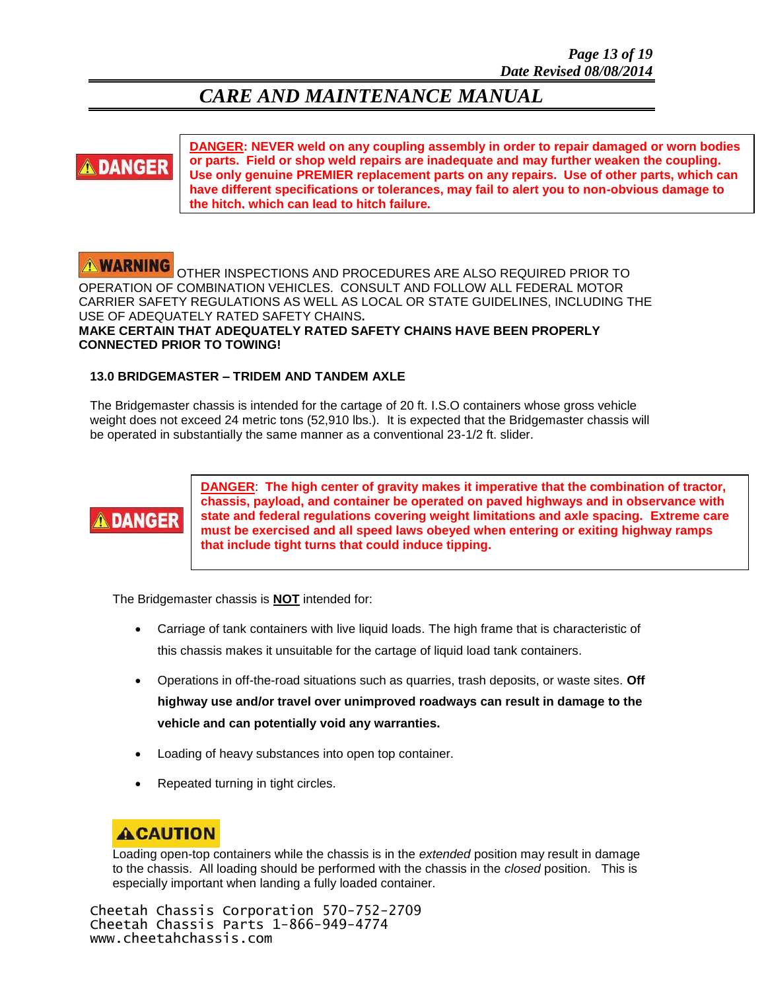# **DANGER**

**DANGER: NEVER weld on any coupling assembly in order to repair damaged or worn bodies or parts. Field or shop weld repairs are inadequate and may further weaken the coupling. Use only genuine PREMIER replacement parts on any repairs. Use of other parts, which can have different specifications or tolerances, may fail to alert you to non-obvious damage to the hitch, which can lead to hitch failure.**

#### **NARNING**

OTHER INSPECTIONS AND PROCEDURES ARE ALSO REQUIRED PRIOR TO OPERATION OF COMBINATION VEHICLES. CONSULT AND FOLLOW ALL FEDERAL MOTOR CARRIER SAFETY REGULATIONS AS WELL AS LOCAL OR STATE GUIDELINES, INCLUDING THE USE OF ADEQUATELY RATED SAFETY CHAINS**. MAKE CERTAIN THAT ADEQUATELY RATED SAFETY CHAINS HAVE BEEN PROPERLY CONNECTED PRIOR TO TOWING!**

#### **13.0 BRIDGEMASTER – TRIDEM AND TANDEM AXLE**

The Bridgemaster chassis is intended for the cartage of 20 ft. I.S.O containers whose gross vehicle weight does not exceed 24 metric tons (52,910 lbs.). It is expected that the Bridgemaster chassis will be operated in substantially the same manner as a conventional 23-1/2 ft. slider.



**DANGER**: **The high center of gravity makes it imperative that the combination of tractor, chassis, payload, and container be operated on paved highways and in observance with state and federal regulations covering weight limitations and axle spacing. Extreme care must be exercised and all speed laws obeyed when entering or exiting highway ramps that include tight turns that could induce tipping.**

The Bridgemaster chassis is **NOT** intended for:

- Carriage of tank containers with live liquid loads. The high frame that is characteristic of this chassis makes it unsuitable for the cartage of liquid load tank containers.
- Operations in off-the-road situations such as quarries, trash deposits, or waste sites. **Off highway use and/or travel over unimproved roadways can result in damage to the vehicle and can potentially void any warranties.**
- Loading of heavy substances into open top container.
- Repeated turning in tight circles.

### **ACAUTION**

I. Loading open-top containers while the chassis is in the *extended* position may result in damage to the chassis. All loading should be performed with the chassis in the *closed* position. This is especially important when landing a fully loaded container.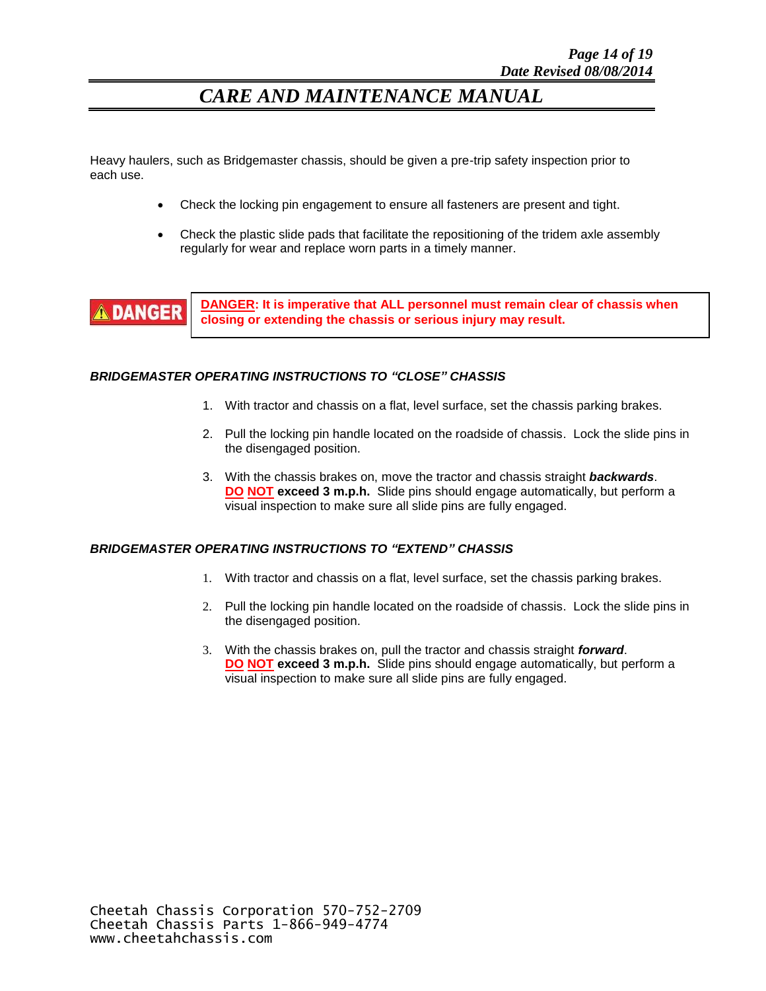Heavy haulers, such as Bridgemaster chassis, should be given a pre-trip safety inspection prior to each use.

- Check the locking pin engagement to ensure all fasteners are present and tight.
- Check the plastic slide pads that facilitate the repositioning of the tridem axle assembly regularly for wear and replace worn parts in a timely manner.



**DANGER: It is imperative that ALL personnel must remain clear of chassis when closing or extending the chassis or serious injury may result.**

#### *BRIDGEMASTER OPERATING INSTRUCTIONS TO "CLOSE" CHASSIS*

- 1. With tractor and chassis on a flat, level surface, set the chassis parking brakes.
- 2. Pull the locking pin handle located on the roadside of chassis. Lock the slide pins in the disengaged position.
- 3. With the chassis brakes on, move the tractor and chassis straight *backwards*. **DO NOT exceed 3 m.p.h.** Slide pins should engage automatically, but perform a visual inspection to make sure all slide pins are fully engaged.

#### *BRIDGEMASTER OPERATING INSTRUCTIONS TO "EXTEND" CHASSIS*

- 1. With tractor and chassis on a flat, level surface, set the chassis parking brakes.
- 2. Pull the locking pin handle located on the roadside of chassis. Lock the slide pins in the disengaged position.
- 3. With the chassis brakes on, pull the tractor and chassis straight *forward*. **DO NOT exceed 3 m.p.h.** Slide pins should engage automatically, but perform a visual inspection to make sure all slide pins are fully engaged.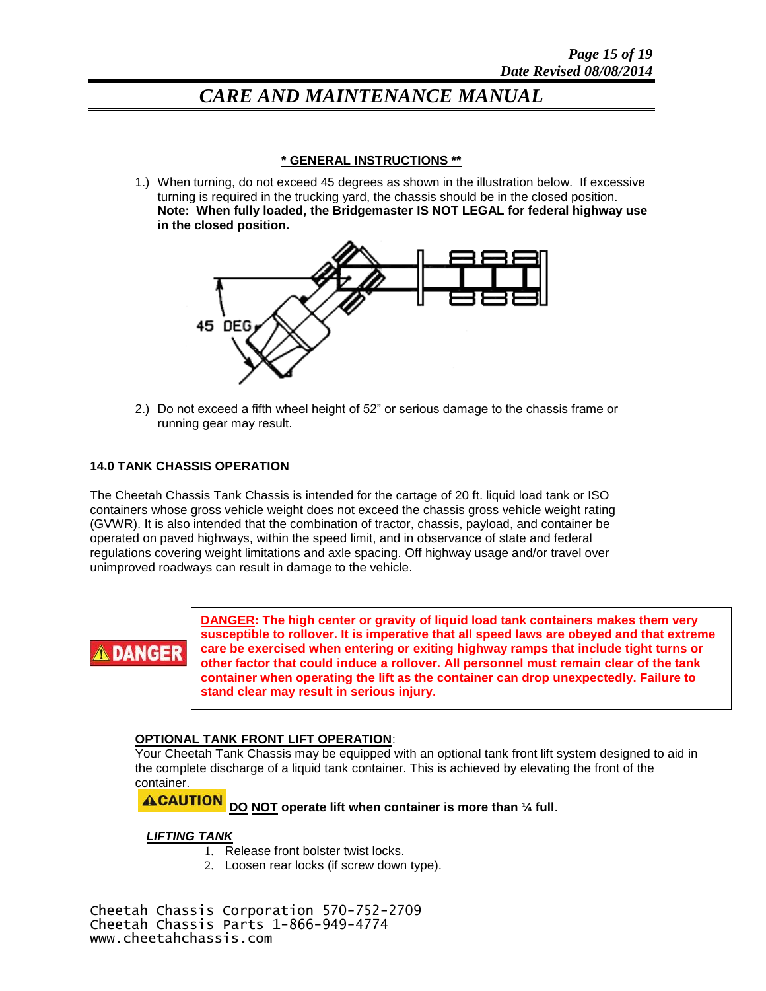#### **\* GENERAL INSTRUCTIONS \*\***

1.) When turning, do not exceed 45 degrees as shown in the illustration below. If excessive turning is required in the trucking yard, the chassis should be in the closed position. **Note: When fully loaded, the Bridgemaster IS NOT LEGAL for federal highway use in the closed position.**



2.) Do not exceed a fifth wheel height of 52" or serious damage to the chassis frame or running gear may result.

#### **14.0 TANK CHASSIS OPERATION**

The Cheetah Chassis Tank Chassis is intended for the cartage of 20 ft. liquid load tank or ISO containers whose gross vehicle weight does not exceed the chassis gross vehicle weight rating (GVWR). It is also intended that the combination of tractor, chassis, payload, and container be operated on paved highways, within the speed limit, and in observance of state and federal regulations covering weight limitations and axle spacing. Off highway usage and/or travel over unimproved roadways can result in damage to the vehicle.



**DANGER: The high center or gravity of liquid load tank containers makes them very susceptible to rollover. It is imperative that all speed laws are obeyed and that extreme care be exercised when entering or exiting highway ramps that include tight turns or other factor that could induce a rollover. All personnel must remain clear of the tank container when operating the lift as the container can drop unexpectedly. Failure to stand clear may result in serious injury.**

#### **OPTIONAL TANK FRONT LIFT OPERATION**:

Your Cheetah Tank Chassis may be equipped with an optional tank front lift system designed to aid in the complete discharge of a liquid tank container. This is achieved by elevating the front of the container.

**ACAUTION DO NOT operate lift when container is more than ¼ full**.

#### *LIFTING TANK*

- 1. Release front bolster twist locks.
- 2. Loosen rear locks (if screw down type).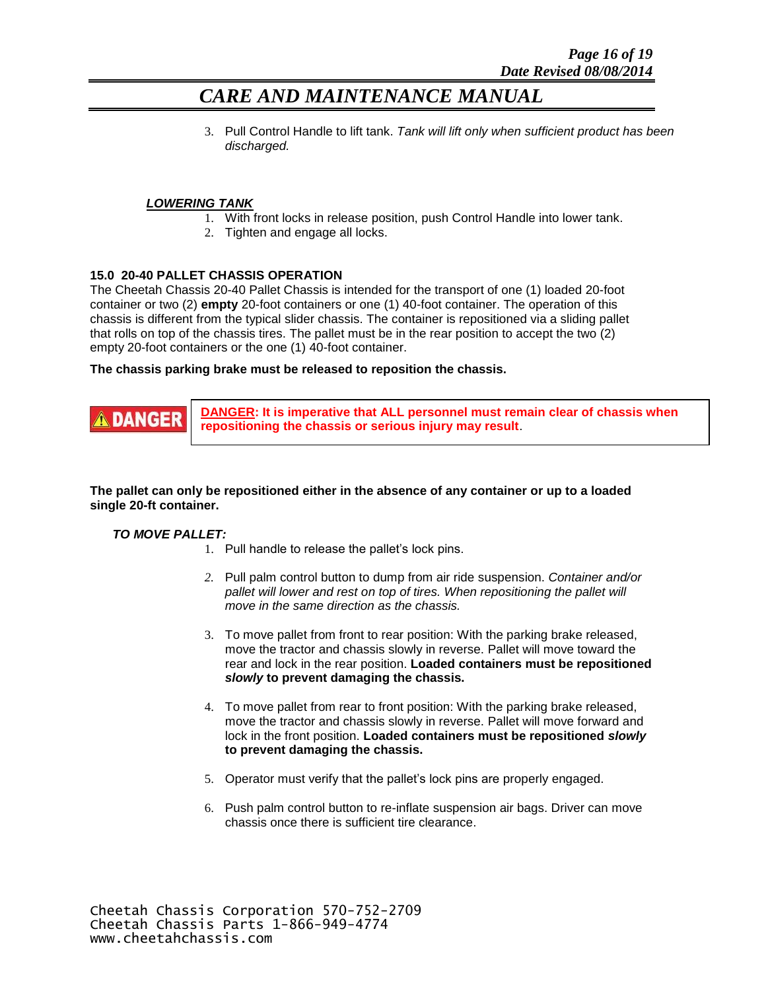3. Pull Control Handle to lift tank. *Tank will lift only when sufficient product has been discharged.*

#### *LOWERING TANK*

- 1. With front locks in release position, push Control Handle into lower tank.
- 2. Tighten and engage all locks.

#### **15.0 20-40 PALLET CHASSIS OPERATION**

The Cheetah Chassis 20-40 Pallet Chassis is intended for the transport of one (1) loaded 20-foot container or two (2) **empty** 20-foot containers or one (1) 40-foot container. The operation of this chassis is different from the typical slider chassis. The container is repositioned via a sliding pallet that rolls on top of the chassis tires. The pallet must be in the rear position to accept the two (2) empty 20-foot containers or the one (1) 40-foot container.

#### **The chassis parking brake must be released to reposition the chassis.**



**DANGER: It is imperative that ALL personnel must remain clear of chassis when repositioning the chassis or serious injury may result**.

#### **The pallet can only be repositioned either in the absence of any container or up to a loaded single 20-ft container.**

#### *TO MOVE PALLET:*

- 1. Pull handle to release the pallet's lock pins.
- *2.* Pull palm control button to dump from air ride suspension. *Container and/or pallet will lower and rest on top of tires. When repositioning the pallet will move in the same direction as the chassis.*
- 3. To move pallet from front to rear position: With the parking brake released, move the tractor and chassis slowly in reverse. Pallet will move toward the rear and lock in the rear position. **Loaded containers must be repositioned**  *slowly* **to prevent damaging the chassis.**
- 4. To move pallet from rear to front position: With the parking brake released, move the tractor and chassis slowly in reverse. Pallet will move forward and lock in the front position. **Loaded containers must be repositioned** *slowly* **to prevent damaging the chassis.**
- 5. Operator must verify that the pallet's lock pins are properly engaged.
- 6. Push palm control button to re-inflate suspension air bags. Driver can move chassis once there is sufficient tire clearance.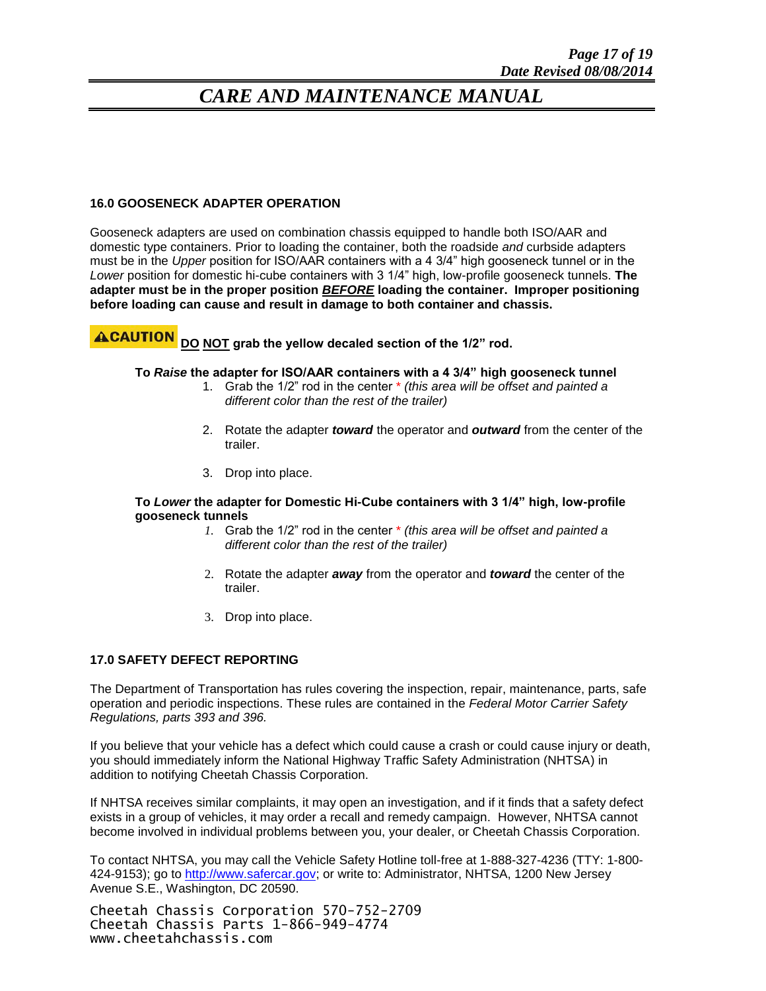#### **16.0 GOOSENECK ADAPTER OPERATION**

Gooseneck adapters are used on combination chassis equipped to handle both ISO/AAR and domestic type containers. Prior to loading the container, both the roadside *and* curbside adapters must be in the *Upper* position for ISO/AAR containers with a 4 3/4" high gooseneck tunnel or in the *Lower* position for domestic hi-cube containers with 3 1/4" high, low-profile gooseneck tunnels. **The adapter must be in the proper position** *BEFORE* **loading the container. Improper positioning before loading can cause and result in damage to both container and chassis.**

#### **ACAUTION DO NOT grab the yellow decaled section of the 1/2" rod.**

#### **To** *Raise* **the adapter for ISO/AAR containers with a 4 3/4" high gooseneck tunnel**

- 1. Grab the 1/2" rod in the center \* *(this area will be offset and painted a different color than the rest of the trailer)*
- 2. Rotate the adapter *toward* the operator and *outward* from the center of the trailer.
- 3. Drop into place.

#### **To** *Lower* **the adapter for Domestic Hi-Cube containers with 3 1/4" high, low-profile gooseneck tunnels**

- *1.* Grab the 1/2" rod in the center \* *(this area will be offset and painted a different color than the rest of the trailer)*
- 2. Rotate the adapter *away* from the operator and *toward* the center of the trailer.
- 3. Drop into place.

#### **17.0 SAFETY DEFECT REPORTING**

The Department of Transportation has rules covering the inspection, repair, maintenance, parts, safe operation and periodic inspections. These rules are contained in the *Federal Motor Carrier Safety Regulations, parts 393 and 396.*

If you believe that your vehicle has a defect which could cause a crash or could cause injury or death, you should immediately inform the National Highway Traffic Safety Administration (NHTSA) in addition to notifying Cheetah Chassis Corporation.

If NHTSA receives similar complaints, it may open an investigation, and if it finds that a safety defect exists in a group of vehicles, it may order a recall and remedy campaign. However, NHTSA cannot become involved in individual problems between you, your dealer, or Cheetah Chassis Corporation.

To contact NHTSA, you may call the Vehicle Safety Hotline toll-free at 1-888-327-4236 (TTY: 1-800 424-9153); go to [http://www.safercar.gov;](http://www.safercar.gov/) or write to: Administrator, NHTSA, 1200 New Jersey Avenue S.E., Washington, DC 20590.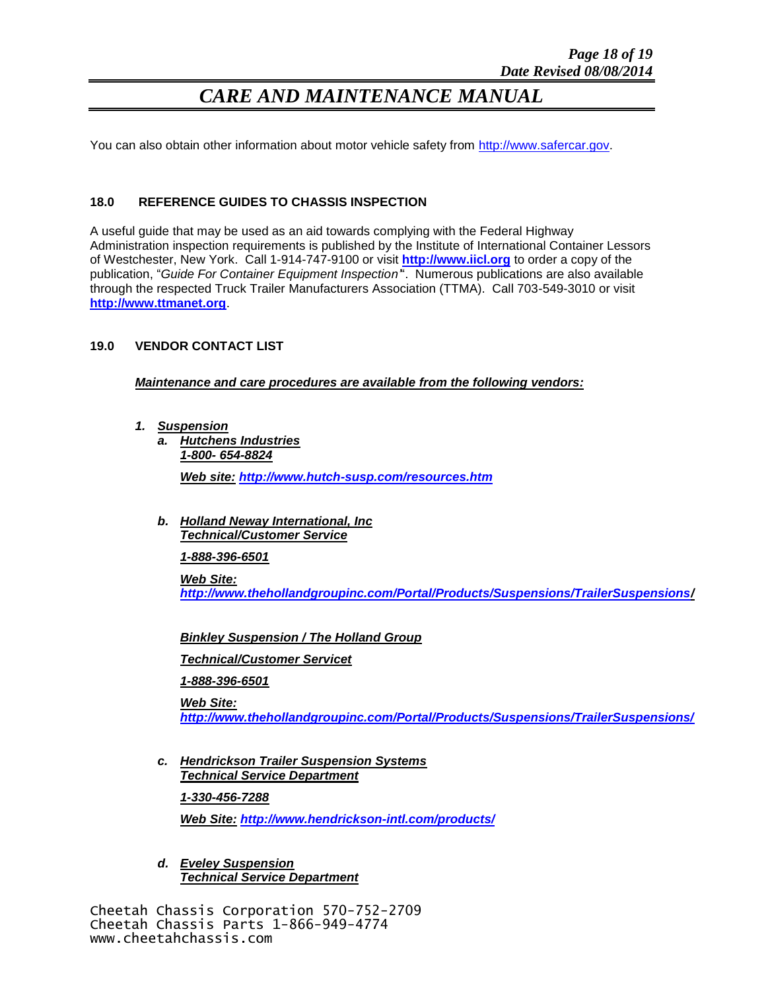You can also obtain other information about motor vehicle safety from [http://www.safercar.gov.](http://www.safercar.gov/)

#### **18.0 REFERENCE GUIDES TO CHASSIS INSPECTION**

A useful guide that may be used as an aid towards complying with the Federal Highway Administration inspection requirements is published by the Institute of International Container Lessors of Westchester, New York. Call 1-914-747-9100 or visit **[http://www.iicl.org](http://www.iicl.org/)** to order a copy of the publication, "*Guide For Container Equipment Inspection'*". Numerous publications are also available through the respected Truck Trailer Manufacturers Association (TTMA). Call 703-549-3010 or visit **[http://www.ttmanet.org](http://www.ttmanet.org/)**.

#### **19.0 VENDOR CONTACT LIST**

*Maintenance and care procedures are available from the following vendors:*

- *1. Suspension*
	- *a. Hutchens Industries 1-800- 654-8824 Web site: <http://www.hutch-susp.com/resources.htm>*
	- *b. Holland Neway International, Inc Technical/Customer Service*

*1-888-396-6501*

*Web Site: <http://www.thehollandgroupinc.com/Portal/Products/Suspensions/TrailerSuspensions/>*

*Binkley Suspension / The Holland Group*

*Technical/Customer Servicet*

*1-888-396-6501*

*Web Site: <http://www.thehollandgroupinc.com/Portal/Products/Suspensions/TrailerSuspensions/>*

*c. Hendrickson Trailer Suspension Systems Technical Service Department 1-330-456-7288*

*Web Site: <http://www.hendrickson-intl.com/products/>*

*d. Eveley Suspension Technical Service Department*